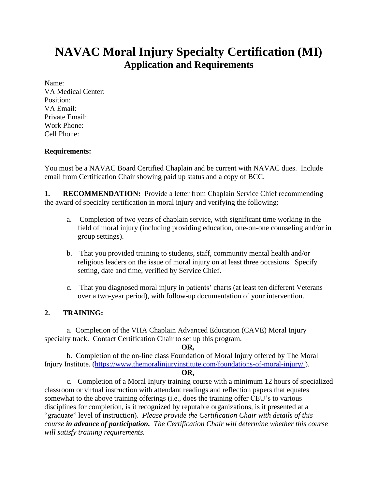# **NAVAC Moral Injury Specialty Certification (MI) Application and Requirements**

Name: VA Medical Center: Position: VA Email: Private Email: Work Phone: Cell Phone:

## **Requirements:**

You must be a NAVAC Board Certified Chaplain and be current with NAVAC dues. Include email from Certification Chair showing paid up status and a copy of BCC.

**1. RECOMMENDATION:** Provide a letter from Chaplain Service Chief recommending the award of specialty certification in moral injury and verifying the following:

- a. Completion of two years of chaplain service, with significant time working in the field of moral injury (including providing education, one-on-one counseling and/or in group settings).
- b. That you provided training to students, staff, community mental health and/or religious leaders on the issue of moral injury on at least three occasions. Specify setting, date and time, verified by Service Chief.
- c. That you diagnosed moral injury in patients' charts (at least ten different Veterans over a two-year period), with follow-up documentation of your intervention.

# **2. TRAINING:**

a. Completion of the VHA Chaplain Advanced Education (CAVE) Moral Injury specialty track. Contact Certification Chair to set up this program.

#### **OR,**

b. Completion of the on-line class Foundation of Moral Injury offered by The Moral Injury Institute. [\(https://www.themoralinjuryinstitute.com/foundations-of-moral-injury/](https://www.themoralinjuryinstitute.com/foundations-of-moral-injury/ ) ).

#### **OR,**

c. Completion of a Moral Injury training course with a minimum 12 hours of specialized classroom or virtual instruction with attendant readings and reflection papers that equates somewhat to the above training offerings (i.e., does the training offer CEU's to various disciplines for completion, is it recognized by reputable organizations, is it presented at a "graduate" level of instruction). *Please provide the Certification Chair with details of this course in advance of participation. The Certification Chair will determine whether this course will satisfy training requirements.*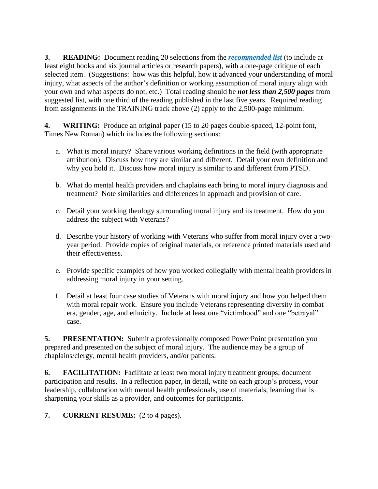**3. READING:** Document reading 20 selections from the *recommended list* (to include at least eight books and six journal articles or research papers), with a one-page critique of each selected item. (Suggestions: how was this helpful, how it advanced your understanding of moral injury, what aspects of the author's definition or working assumption of moral injury align with your own and what aspects do not, etc.) Total reading should be *not less than 2,500 pages* from suggested list, with one third of the reading published in the last five years. Required reading from assignments in the TRAINING track above (2) apply to the 2,500-page minimum.

**4. WRITING:** Produce an original paper (15 to 20 pages double-spaced, 12-point font, Times New Roman) which includes the following sections:

- a. What is moral injury? Share various working definitions in the field (with appropriate attribution). Discuss how they are similar and different. Detail your own definition and why you hold it. Discuss how moral injury is similar to and different from PTSD.
- b. What do mental health providers and chaplains each bring to moral injury diagnosis and treatment? Note similarities and differences in approach and provision of care.
- c. Detail your working theology surrounding moral injury and its treatment. How do you address the subject with Veterans?
- d. Describe your history of working with Veterans who suffer from moral injury over a twoyear period. Provide copies of original materials, or reference printed materials used and their effectiveness.
- e. Provide specific examples of how you worked collegially with mental health providers in addressing moral injury in your setting.
- f. Detail at least four case studies of Veterans with moral injury and how you helped them with moral repair work. Ensure you include Veterans representing diversity in combat era, gender, age, and ethnicity. Include at least one "victimhood" and one "betrayal" case.

**5. PRESENTATION:** Submit a professionally composed PowerPoint presentation you prepared and presented on the subject of moral injury. The audience may be a group of chaplains/clergy, mental health providers, and/or patients.

**6. FACILITATION:** Facilitate at least two moral injury treatment groups; document participation and results. In a reflection paper, in detail, write on each group's process, your leadership, collaboration with mental health professionals, use of materials, learning that is sharpening your skills as a provider, and outcomes for participants.

**7. CURRENT RESUME:** (2 to 4 pages).